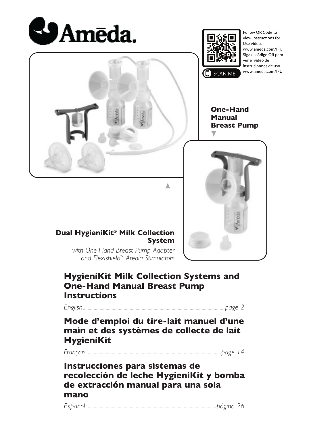



Follow QR Code to view Instructions for Use video. www.ameda.com/IFU Siga el código QR para ver el video de instrucionnes de uso. www.ameda.com/IFU

**One-Hand Manual Breast Pump**



**Dual HygieniKit® Milk Collection System**

> *with One-Hand Breast Pump Adapter and Flexishield™ Areola Stimulators*

### **HygieniKit Milk Collection Systems and One-Hand Manual Breast Pump Instructions**

*English......................................................................................................................page 2*

**Mode d'emploi du tire-lait manuel d'une main et des systèmes de collecte de lait HygieniKit**

*Français................................................................................................................page 14*

### **Instrucciones para sistemas de recolección de leche HygieniKit y bomba de extracción manual para una sola mano**

*Español.............................................................................................................página 26*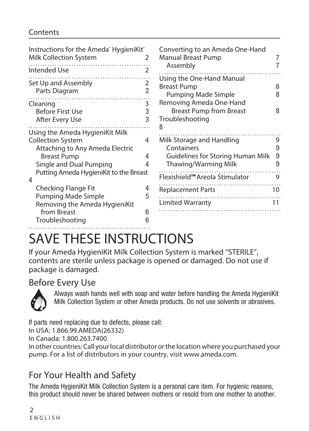### **Contents**

| Instructions for the Ameda HygieniKit <sup>®</sup><br>Milk Collection System<br><b>Intended Use</b>                                                                                            | $\mathcal{P}$<br>2       | Converting to an Ameda One-Hand<br><b>Manual Breast Pump</b><br>Assembly                                                               |                       |
|------------------------------------------------------------------------------------------------------------------------------------------------------------------------------------------------|--------------------------|----------------------------------------------------------------------------------------------------------------------------------------|-----------------------|
| Set Up and Assembly<br>Parts Diagram                                                                                                                                                           | $\overline{2}$           | Using the One-Hand Manual<br><b>Breast Pump</b><br>Pumping Made Simple                                                                 | 8                     |
| Cleaning<br><b>Before First Use</b><br>After Every Use                                                                                                                                         | $\overline{3}$<br>3<br>3 | Removing Ameda One-Hand<br><b>Breast Pump from Breast</b><br>Troubleshooting                                                           | 8                     |
| Using the Ameda HygieniKit Milk<br><b>Collection System</b><br>Attaching to Any Ameda Electric<br><b>Breast Pump</b><br>Single and Dual Pumping<br>Putting Ameda HygieniKit to the Breast<br>4 | 4<br>4<br>4              | Milk Storage and Handling<br>Containers<br>Guidelines for Storing Human Milk<br>Thawing/Warming Milk<br>Flexishield™ Areola Stimulator | 9<br>9<br>9<br>9<br>9 |
| Checking Flange Fit<br>Pumping Made Simple<br>Removing the Ameda HygieniKit                                                                                                                    | 4<br>5                   | <b>Replacement Parts</b><br>Limited Warranty                                                                                           | 10<br>11              |
| from Breast<br>Troubleshooting                                                                                                                                                                 | ĥ<br>հ                   |                                                                                                                                        |                       |

# SAVE THESE INSTRUCTIONS

If your Ameda HygieniKit Milk Collection System is marked "STERILE", contents are sterile unless package is opened or damaged. Do not use if package is damaged.

### Before Every Use



Always wash hands well with soap and water before handling the Ameda HygieniKit Milk Collection System or other Ameda products. Do not use solvents or abrasives.

If parts need replacing due to defects, please call: In USA: 1.866.99.AMEDA(26332)

In Canada: 1.800.263.7400

In other countries: Call your local distributor or the location where you purchased your pump. For a list of distributors in your country, visit www.ameda.com.

# For Your Health and Safety

The Ameda HygieniKit Milk Collection System is a personal care item. For hygienic reasons, this product should never be shared between mothers or resold from one mother to another.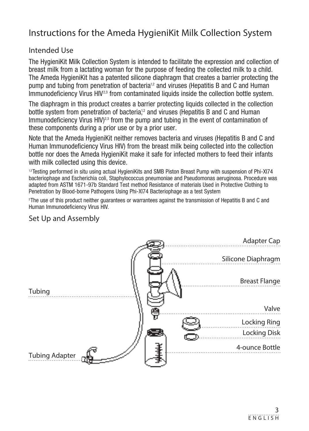# Instructions for the Ameda HygieniKit Milk Collection System

#### Intended Use

The HygieniKit Milk Collection System is intended to facilitate the expression and collection of breast milk from a lactating woman for the purpose of feeding the collected milk to a child. The Ameda HygieniKit has a patented silicone diaphragm that creates a barrier protecting the pump and tubing from penetration of bacteria<sup>1,2</sup> and viruses (Hepatitis B and C and Human Immunodeficiency Virus HIV<sup>2,3</sup> from contaminated liquids inside the collection bottle system.

The diaphragm in this product creates a barrier protecting liquids collected in the collection bottle system from penetration of bacteria,<sup>12</sup> and viruses (Hepatitis B and C and Human Immunodeficiency Virus  $H/V^{2,3}$  from the pump and tubing in the event of contamination of these components during a prior use or by a prior user.

Note that the Ameda HygieniKit neither removes bacteria and viruses (Hepatitis B and C and Human Immunodeficiency Virus HIV) from the breast milk being collected into the collection bottle nor does the Ameda HygieniKit make it safe for infected mothers to feed their infants with milk collected using this device.

13 Testing performed in situ using actual HygieniKits and SMB Piston Breast Pump with suspension of Phi-XI74 bacteriophage and Escherichia coli, Staphylococcus pneumoniae and Pseudomonas aeruginosa. Procedure was adapted from ASTM 1671-97b Standard Test method Resistance of materials Used in Protective Clothing to Penetration by Blood-borne Pathogens Using Phi-Xl74 Bacteriophage as a test System

2 The use of this product neither guarantees or warrantees against the transmission of Hepatitis B and C and Human Immunodeficiency Virus HIV.

### Set Up and Assembly

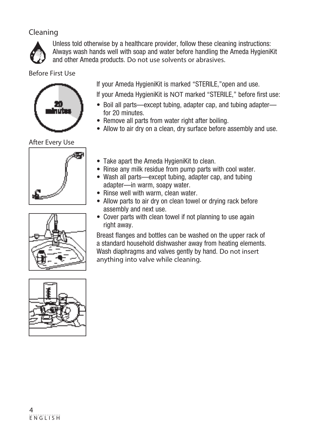### Cleaning



Unless told otherwise by a healthcare provider, follow these cleaning instructions: Always wash hands well with soap and water before handling the Ameda HygieniKit and other Ameda products. Do not use solvents or abrasives.

Before First Use



After Every Use







If your Ameda HygieniKit is marked "STERILE,"open and use.

If your Ameda HygieniKit is NOT marked "STERILE," before first use:

- Boil all parts—except tubing, adapter cap, and tubing adapter for 20 minutes.
- Remove all parts from water right after boiling.
- Allow to air dry on a clean, dry surface before assembly and use.
- Take apart the Ameda HygieniKit to clean.
- Rinse any milk residue from pump parts with cool water.
- Wash all parts—except tubing, adapter cap, and tubing adapter—in warm, soapy water.
- Rinse well with warm, clean water.
- Allow parts to air dry on clean towel or drying rack before assembly and next use.
- Cover parts with clean towel if not planning to use again right away.

Breast flanges and bottles can be washed on the upper rack of a standard household dishwasher away from heating elements. Wash diaphragms and valves gently by hand. Do not insert anything into valve while cleaning.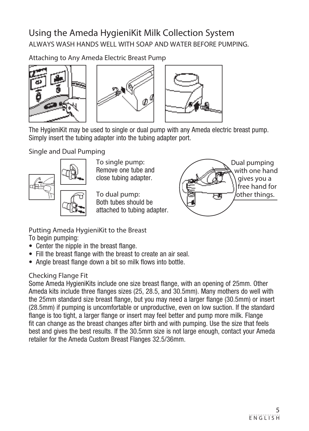# Using the Ameda HygieniKit Milk Collection System ALWAYS WASH HANDS WELL WITH SOAP AND WATER BEFORE PUMPING.

Attaching to Any Ameda Electric Breast Pump





The HygieniKit may be used to single or dual pump with any Ameda electric breast pump. Simply insert the tubing adapter into the tubing adapter port.

Single and Dual Pumping



To single pump: Remove one tube and close tubing adapter.

To dual pump: Both tubes should be attached to tubing adapter.



Putting Ameda HygieniKit to the Breast To begin pumping:

- Center the nipple in the breast flange.
- Fill the breast flange with the breast to create an air seal.
- Angle breast flange down a bit so milk flows into bottle.

### Checking Flange Fit

Some Ameda HygieniKits include one size breast flange, with an opening of 25mm. Other Ameda kits include three flanges sizes (25, 28.5, and 30.5mm). Many mothers do well with the 25mm standard size breast flange, but you may need a larger flange (30.5mm) or insert (28.5mm) if pumping is uncomfortable or unproductive, even on low suction. If the standard flange is too tight, a larger flange or insert may feel better and pump more milk. Flange fit can change as the breast changes after birth and with pumping. Use the size that feels best and gives the best results. If the 30.5mm size is not large enough, contact your Ameda retailer for the Ameda Custom Breast Flanges 32.5/36mm.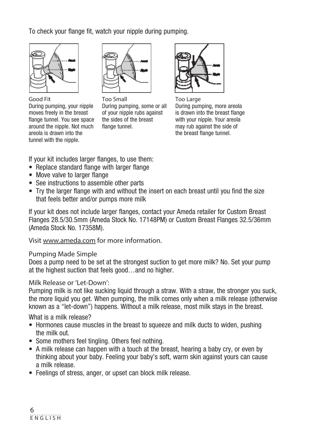To check your flange fit, watch your nipple during pumping.



Good Fit During pumping, your nipple moves freely in the breast flange tunnel. You see space around the nipple. Not much areola is drawn into the tunnel with the nipple.



Too Small During pumping, some or all of your nipple rubs against the sides of the breast flange tunnel.



Too Large During pumping, more areola is drawn into the breast flange with your nipple. Your areola may rub against the side of the breast flange tunnel.

If your kit includes larger flanges, to use them:

- Replace standard flange with larger flange
- Move valve to larger flange
- See instructions to assemble other parts
- Try the larger flange with and without the insert on each breast until you find the size that feels better and/or pumps more milk

If your kit does not include larger flanges, contact your Ameda retailer for Custom Breast Flanges 28.5/30.5mm (Ameda Stock No. 17148PM) or Custom Breast Flanges 32.5/36mm (Ameda Stock No. 17358M).

Visit www.ameda.com for more information.

#### Pumping Made Simple

Does a pump need to be set at the strongest suction to get more milk? No. Set your pump at the highest suction that feels good…and no higher.

#### Milk Release or 'Let-Down':

Pumping milk is not like sucking liquid through a straw. With a straw, the stronger you suck, the more liquid you get. When pumping, the milk comes only when a milk release (otherwise known as a "let-down") happens. Without a milk release, most milk stays in the breast.

What is a milk release?

- Hormones cause muscles in the breast to squeeze and milk ducts to widen, pushing the milk out.
- Some mothers feel tingling. Others feel nothing.
- A milk release can happen with a touch at the breast, hearing a baby cry, or even by thinking about your baby. Feeling your baby's soft, warm skin against yours can cause a milk release.
- Feelings of stress, anger, or upset can block milk release.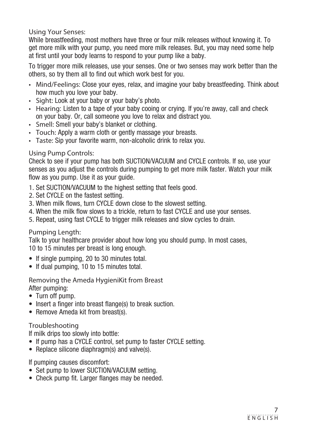Using Your Senses:

While breastfeeding, most mothers have three or four milk releases without knowing it. To get more milk with your pump, you need more milk releases. But, you may need some help at first until your body learns to respond to your pump like a baby.

To trigger more milk releases, use your senses. One or two senses may work better than the others, so try them all to find out which work best for you.

- Mind/Feelings: Close your eyes, relax, and imagine your baby breastfeeding. Think about how much you love your baby.
- Sight: Look at your baby or your baby's photo.
- Hearing: Listen to a tape of your baby cooing or crying. If you're away, call and check on your baby. Or, call someone you love to relax and distract you.
- Smell: Smell your baby's blanket or clothing.
- Touch: Apply a warm cloth or gently massage your breasts.
- Taste: Sip your favorite warm, non-alcoholic drink to relax you.

#### Using Pump Controls:

Check to see if your pump has both SUCTION/VACUUM and CYCLE controls. If so, use your senses as you adjust the controls during pumping to get more milk faster. Watch your milk flow as you pump. Use it as your quide.

- 1. Set SUCTION/VACUUM to the highest setting that feels good.
- 2. Set CYCLE on the fastest setting.
- 3. When milk flows, turn CYCLE down close to the slowest setting.
- 4. When the milk flow slows to a trickle, return to fast CYCLE and use your senses.
- 5. Repeat, using fast CYCLE to trigger milk releases and slow cycles to drain.

#### Pumping Length:

Talk to your healthcare provider about how long you should pump. In most cases, 10 to 15 minutes per breast is long enough.

- If single pumping, 20 to 30 minutes total.
- If dual pumping, 10 to 15 minutes total.

Removing the Ameda HygieniKit from Breast After pumping:

- Turn off pump.
- Insert a finger into breast flange(s) to break suction.
- Remove Ameda kit from breast(s).

#### Troubleshooting

If milk drips too slowly into bottle:

- If pump has a CYCLE control, set pump to faster CYCLE setting.
- Replace silicone diaphragm(s) and valve(s).

If pumping causes discomfort:

- Set pump to lower SUCTION/VACUUM setting.
- Check pump fit. Larger flanges may be needed.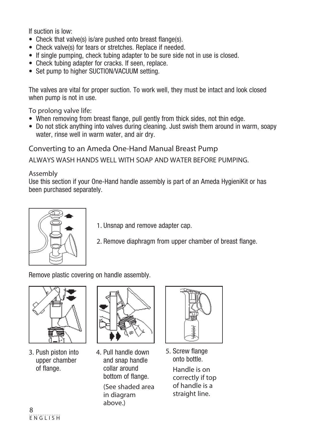If suction is low:

- Check that valve(s) is/are pushed onto breast flange(s).
- Check valve(s) for tears or stretches. Replace if needed.
- If single pumping, check tubing adapter to be sure side not in use is closed.
- Check tubing adapter for cracks. If seen, replace,
- Set pump to higher SUCTION/VACUUM setting.

The valves are vital for proper suction. To work well, they must be intact and look closed when pump is not in use.

To prolong valve life:

- When removing from breast flange, pull gently from thick sides, not thin edge.
- Do not stick anything into valves during cleaning. Just swish them around in warm, soapy water, rinse well in warm water, and air dry.

Converting to an Ameda One-Hand Manual Breast Pump

ALWAYS WASH HANDS WELL WITH SOAP AND WATER BEFORE PUMPING.

#### Assembly

Use this section if your One-Hand handle assembly is part of an Ameda HygieniKit or has been purchased separately.



- 1. Unsnap and remove adapter cap.
- 2. Remove diaphragm from upper chamber of breast flange.

Remove plastic covering on handle assembly.



3. Push piston into upper chamber of flange.



4. Pull handle down and snap handle collar around bottom of flange. (See shaded area in diagram above.)



5. Screw flange onto bottle.

> Handle is on correctly if top of handle is a straight line.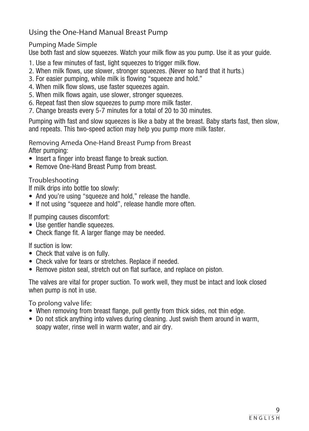### Using the One-Hand Manual Breast Pump

#### Pumping Made Simple

Use both fast and slow squeezes. Watch your milk flow as you pump. Use it as your guide.

- 1. Use a few minutes of fast, light squeezes to trigger milk flow.
- 2. When milk flows, use slower, stronger squeezes. (Never so hard that it hurts.)
- 3. For easier pumping, while milk is flowing "squeeze and hold."
- 4. When milk flow slows, use faster squeezes again.
- 5. When milk flows again, use slower, stronger squeezes.
- 6. Repeat fast then slow squeezes to pump more milk faster.
- 7. Change breasts every 5-7 minutes for a total of 20 to 30 minutes.

Pumping with fast and slow squeezes is like a baby at the breast. Baby starts fast, then slow, and repeats. This two-speed action may help you pump more milk faster.

Removing Ameda One-Hand Breast Pump from Breast

After pumping:

- Insert a finger into breast flange to break suction.
- Remove One-Hand Breast Pump from breast.

Troubleshooting

If milk drips into bottle too slowly:

- And you're using "squeeze and hold," release the handle.
- If not using "squeeze and hold", release handle more often.

If pumping causes discomfort:

- Use gentler handle squeezes.
- Check flange fit. A larger flange may be needed.

If suction is low:

- Check that valve is on fully.
- Check valve for tears or stretches. Replace if needed.
- Remove piston seal, stretch out on flat surface, and replace on piston.

The valves are vital for proper suction. To work well, they must be intact and look closed when pump is not in use.

To prolong valve life:

- When removing from breast flange, pull gently from thick sides, not thin edge.
- Do not stick anything into valves during cleaning. Just swish them around in warm, soapy water, rinse well in warm water, and air dry.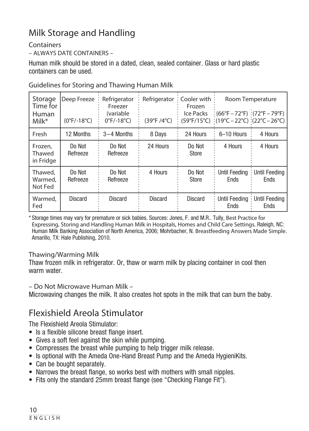# Milk Storage and Handling

#### **Containers**

– ALWAYS DATE CONTAINERS –

Human milk should be stored in a dated, clean, sealed container. Glass or hard plastic containers can be used.

| Storage<br>Time for<br>Human<br>Milk* | Deep Freeze<br>$(0°F/-18°C)$             | Refrigerator<br>Freezer<br>(variable<br>$0^{\circ}$ F/-18 $^{\circ}$ C) | (39°F / 4°C)   | Refrigerator: Cooler with:<br>Frozen<br>Ice Packs | $(66^{\circ}F - 72^{\circ}F)$ : (72°F – 79°F)<br>$(59^{\circ}F/15^{\circ}C)$ : $(19^{\circ}C - 22^{\circ}C)$ : $(22^{\circ}C - 26^{\circ}C)$ | Room Temperature          |
|---------------------------------------|------------------------------------------|-------------------------------------------------------------------------|----------------|---------------------------------------------------|----------------------------------------------------------------------------------------------------------------------------------------------|---------------------------|
| Fresh                                 | 12 Months                                | $3-4$ Months                                                            | 8 Days         | 24 Hours                                          | 6-10 Hours                                                                                                                                   | 4 Hours                   |
| Frozen,<br>Thawed<br>in Fridge        | Do Not<br>Do Not<br>Refreeze<br>Refreeze |                                                                         | 24 Hours       | Do Not<br>Store                                   | 4 Hours                                                                                                                                      | 4 Hours                   |
| Thawed,<br>Warmed,<br>Not Fed         | Do Not<br>Refreeze                       | Do Not<br>Refreeze                                                      | 4 Hours        | Do Not<br><b>Store</b>                            | <b>Until Feeding</b><br><b>Ends</b>                                                                                                          | $:$ Until Feeding<br>Ends |
| Warmed,<br>Fed                        | <b>Discard</b>                           | <b>Discard</b>                                                          | <b>Discard</b> | <b>Discard</b>                                    | : Until Feeding : Until Feeding<br>Ends                                                                                                      | Ends                      |

Guidelines for Storing and Thawing Human Milk

\* Storage times may vary for premature or sick babies. Sources: Jones, F. and M.R.. Tully, Best Practice for Expressing, Storing and Handling Human Milk in Hospitals, Homes and Child Care Settings. Raleigh, NC: Human Milk Banking Association of North America, 2006; Mohrbacher, N. Breastfeeding Answers Made Simple. Amarillo, TX: Hale Publishing, 2010.

### Thawing/Warming Milk

Thaw frozen milk in refrigerator. Or, thaw or warm milk by placing container in cool then warm water

– Do Not Microwave Human Milk –

Microwaving changes the milk. It also creates hot spots in the milk that can burn the baby.

# Flexishield Areola Stimulator

The Flexishield Areola Stimulator:

- Is a flexible silicone breast flange insert.
- Gives a soft feel against the skin while pumping.
- Compresses the breast while pumping to help trigger milk release.
- Is optional with the Ameda One-Hand Breast Pump and the Ameda HygieniKits.
- Can be bought separately.
- Narrows the breast flange, so works best with mothers with small nipples.
- Fits only the standard 25mm breast flange (see "Checking Flange Fit").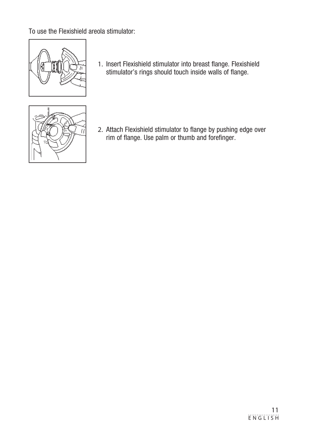To use the Flexishield areola stimulator:



1. Insert Flexishield stimulator into breast flange. Flexishield stimulator's rings should touch inside walls of flange.



2. Attach Flexishield stimulator to flange by pushing edge over rim of flange. Use palm or thumb and forefinger.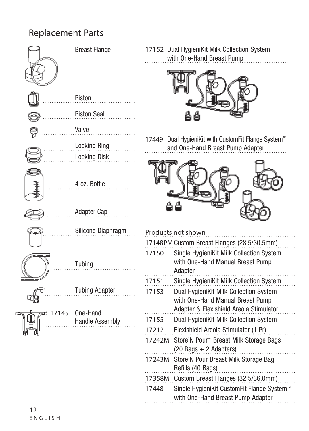# Replacement Parts

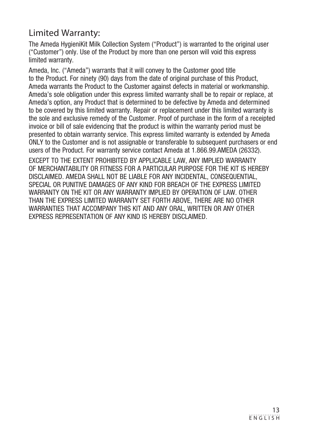## Limited Warranty:

The Ameda HygieniKit Milk Collection System ("Product") is warranted to the original user ("Customer") only. Use of the Product by more than one person will void this express limited warranty.

Ameda, Inc. ("Ameda") warrants that it will convey to the Customer good title to the Product. For ninety (90) days from the date of original purchase of this Product, Ameda warrants the Product to the Customer against defects in material or workmanship. Ameda's sole obligation under this express limited warranty shall be to repair or replace, at Ameda's option, any Product that is determined to be defective by Ameda and determined to be covered by this limited warranty. Repair or replacement under this limited warranty is the sole and exclusive remedy of the Customer. Proof of purchase in the form of a receipted invoice or bill of sale evidencing that the product is within the warranty period must be presented to obtain warranty service. This express limited warranty is extended by Ameda ONLY to the Customer and is not assignable or transferable to subsequent purchasers or end users of the Product. For warranty service contact Ameda at 1.866.99.AMEDA (26332).

EXCEPT TO THE EXTENT PROHIBITED BY APPLICABLE LAW, ANY IMPLIED WARRANTY OF MERCHANTABILITY OR FITNESS FOR A PARTICULAR PURPOSE FOR THE KIT IS HEREBY DISCLAIMED. AMEDA SHALL NOT BE LIABLE FOR ANY INCIDENTAL, CONSEQUENTIAL, SPECIAL OR PUNITIVE DAMAGES OF ANY KIND FOR BREACH OF THE EXPRESS LIMITED WARRANTY ON THE KIT OR ANY WARRANTY IMPLIED BY OPERATION OF LAW. OTHER THAN THE EXPRESS LIMITED WARRANTY SET FORTH ABOVE, THERE ARE NO OTHER WARRANTIES THAT ACCOMPANY THIS KIT AND ANY ORAL, WRITTEN OR ANY OTHER EXPRESS REPRESENTATION OF ANY KIND IS HEREBY DISCLAIMED.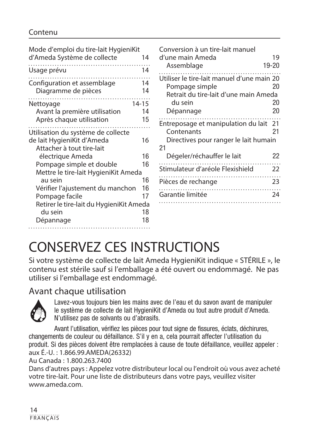#### Contenu

| Mode d'emploi du tire-lait HygieniKit<br>d'Ameda Système de collecte | 14                    | Conversion à un tire-lait manuel<br>d'une main Ameda                                                             | 19       |
|----------------------------------------------------------------------|-----------------------|------------------------------------------------------------------------------------------------------------------|----------|
|                                                                      |                       |                                                                                                                  | 19-20    |
| Usage prévu                                                          | 14                    | Assemblage                                                                                                       |          |
| Configuration et assemblage<br>Diagramme de pièces<br>Nettoyage      | 14<br>14<br>$14 - 15$ | Utiliser le tire-lait manuel d'une main 20<br>Pompage simple<br>Retrait du tire-lait d'une main Ameda<br>du sein | 20<br>20 |
| Avant la première utilisation                                        | 14                    | Dépannage                                                                                                        | 20       |
| Après chaque utilisation                                             | 15                    | Entreposage et manipulation du lait 21                                                                           |          |
| Utilisation du système de collecte                                   |                       | Contenants                                                                                                       | 21       |
| de lait HygieniKit d'Ameda<br>Attacher à tout tire-lait              | 16                    | Directives pour ranger le lait humain<br>21                                                                      |          |
| électrique Ameda                                                     | 16                    | Dégeler/réchauffer le lait                                                                                       | 22       |
| Pompage simple et double<br>Mettre le tire-lait HygieniKit Ameda     | 16                    | Stimulateur d'aréole Flexishield                                                                                 | 22       |
| au sein                                                              | 16                    | Pièces de rechange                                                                                               | 23       |
| Vérifier l'ajustement du manchon                                     | 16                    |                                                                                                                  |          |
| Pompage facile                                                       | 17                    | Garantie limitée                                                                                                 | 24       |
| Retirer le tire-lait du HygieniKit Ameda                             |                       |                                                                                                                  |          |
| du sein                                                              | 18                    |                                                                                                                  |          |
| Dépannage                                                            | 18                    |                                                                                                                  |          |
|                                                                      |                       |                                                                                                                  |          |

# CONSERVEZ CES INSTRUCTIONS

Si votre système de collecte de lait Ameda HygieniKit indique « STÉRILE », le contenu est stérile sauf si l'emballage a été ouvert ou endommagé. Ne pas utiliser si l'emballage est endommagé.

### Avant chaque utilisation



Lavez-vous toujours bien les mains avec de l'eau et du savon avant de manipuler le système de collecte de lait HygieniKit d'Ameda ou tout autre produit d'Ameda. N'utilisez pas de solvants ou d'abrasifs.

Avant l'utilisation, vérifiez les pièces pour tout signe de fissures, éclats, déchirures, changements de couleur ou défaillance. S'il y en a, cela pourrait affecter l'utilisation du produit. Si des pièces doivent être remplacées à cause de toute défaillance, veuillez appeler : aux É.-U. : 1.866.99.AMEDA(26332)

Au Canada : 1.800.263.7400

Dans d'autres pays : Appelez votre distributeur local ou l'endroit où vous avez acheté votre tire-lait. Pour une liste de distributeurs dans votre pays, veuillez visiter www.ameda.com.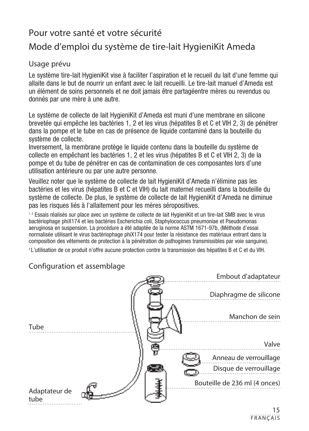# Pour votre santé et votre sécurité

# Mode d'emploi du système de tire-lait HygieniKit Ameda

#### Usage prévu

Le système tire-lait HygieniKit vise à faciliter l'aspiration et le recueil du lait d'une femme qui allaite dans le but de nourrir un enfant avec le lait recueilli. Le tire-lait manuel d'Ameda est un élément de soins personnels et ne doit jamais être partagéentre mères ou revendus ou donnés par une mère à une autre.

Le système de collecte de lait HygieniKit d'Ameda est muni d'une membrane en silicone brevetée qui empêche les bactéries 1, 2 et les virus (hépatites B et C et VIH 2, 3) de pénétrer dans la pompe et le tube en cas de présence de liquide contaminé dans la bouteille du système de collecte.

Inversement, la membrane protège le liquide contenu dans la bouteille du système de collecte en empêchant les bactéries 1, 2 et les virus (hépatites B et C et VIH 2, 3) de la pompe et du tube de pénétrer en cas de contamination de ces composantes lors d'une utilisation antérieure ou par une autre personne.

Veuillez noter que le système de collecte de lait HygieniKit d'Ameda n'élimine pas les bactéries et les virus (hépatites B et C et VIH) du lait maternel recueilli dans la bouteille du système de collecte. De plus, le système de collecte de lait HygieniKit d'Ameda ne diminue pas les risques liés à l'allaitement pour les mères séropositives.

1,3 Essais réalisés sur place avec un système de collecte de lait HygieniKit et un tire-lait SMB avec le virus bactériophage phiX174 et les bactéries Escherichia coli, Staphylococcus pneumoniae et Pseudomonas aeruginosa en suspension. La procédure a été adaptée de la norme ASTM 1671-97b, (Méthode d'essai normalisée utilisant le virus bactériophage phiX174 pour tester la résistance des matériaux entrant dans la composition des vêtements de protection à la pénétration de pathogènes transmissibles par voie sanguine).

2 L'utilisation de ce produit n'offre aucune protection contre la transmission des hépatites B et C et du VIH.

# Tube Diaphragme de silicone Embout d'adaptateur Bouteille de 236 ml (4 onces) Disque de verrouillage Anneau de verrouillage Valve Manchon de sein Adaptateur de tube

### Configuration et assemblage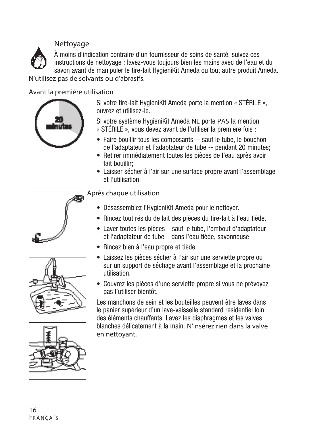#### Nettoyage



À moins d'indication contraire d'un fournisseur de soins de santé, suivez ces instructions de nettoyage : lavez-vous toujours bien les mains avec de l'eau et du savon avant de manipuler le tire-lait HygieniKit Ameda ou tout autre produit Ameda. N'utilisez pas de solvants ou d'abrasifs.

Avant la première utilisation



Si votre tire-lait HygieniKit Ameda porte la mention « STÉRILE », ouvrez et utilisez-le.

Si votre système HygieniKit Ameda NE porte PAS la mention « STÉRILE », vous devez avant de l'utiliser la première fois :

- Faire bouillir tous les composants -- sauf le tube, le bouchon de l'adaptateur et l'adaptateur de tube -- pendant 20 minutes;
- Retirer immédiatement toutes les pièces de l'eau après avoir fait bouillir;
- Laisser sécher à l'air sur une surface propre avant l'assemblage et l'utilisation.





Après chaque utilisation

- Désassemblez l'HygieniKit Ameda pour le nettoyer.
- Rincez tout résidu de lait des pièces du tire-lait à l'eau tiède.
- Laver toutes les pièces—sauf le tube, l'embout d'adaptateur et l'adaptateur de tube—dans l'eau tiède, savonneuse
- Rincez bien à l'eau propre et tiède.
- Laissez les pièces sécher à l'air sur une serviette propre ou sur un support de séchage avant l'assemblage et la prochaine utilisation.
- Couvrez les pièces d'une serviette propre si vous ne prévoyez pas l'utiliser bientôt.

Les manchons de sein et les bouteilles peuvent être lavés dans le panier supérieur d'un lave-vaisselle standard résidentiel loin des éléments chauffants. Lavez les diaphragmes et les valves blanches délicatement à la main. N'insérez rien dans la valve en nettoyant.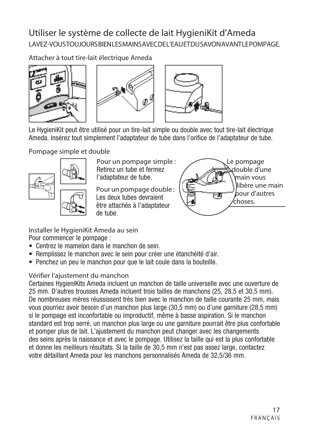# Utiliser le système de collecte de lait HygieniKit d'Ameda LAVEZ-VOUS TOUJOURS BIEN LES MAINS AVEC DE L'EAU ET DU SAVON AVANT LE POMPAGE.

Attacher à tout tire-lait électrique Ameda





Le HygieniKit peut être utilisé pour un tire-lait simple ou double avec tout tire-lait électrique Ameda. Insérez tout simplement l'adaptateur de tube dans l'orifice de l'adaptateur de tube.

Pompage simple et double



Pour un pompage simple : Retirez un tube et fermez l'adaptateur de tube.

Pour un pompage double : Les deux tubes devraient être attachés à l'adaptateur de tube.



Installer le HygieniKit Ameda au sein Pour commencer le pompage :

- Centrez le mamelon dans le manchon de sein.
- Remplissez le manchon avec le sein pour créer une étanchéité d'air.
- Penchez un peu le manchon pour que le lait coule dans la bouteille.

### Vérifier l'ajustement du manchon

Certaines HygieniKits Ameda incluent un manchon de taille universelle avec une ouverture de 25 mm. D'autres trousses Ameda incluent trois tailles de manchons (25, 28,5 et 30,5 mm). De nombreuses mères réussissent très bien avec le manchon de taille courante 25 mm, mais vous pourriez avoir besoin d'un manchon plus large (30,5 mm) ou d'une garniture (28,5 mm) si le pompage est inconfortable ou improductif, même à basse aspiration. Si le manchon standard est trop serré, un manchon plus large ou une garniture pourrait être plus confortable et pomper plus de lait. L'ajustement du manchon peut changer avec les changements des seins après la naissance et avec le pompage. Utilisez la taille qui est la plus confortable et donne les meilleurs résultats. Si la taille de 30,5 mm n'est pas assez large, contactez votre détaillant Ameda pour les manchons personnalisés Ameda de 32,5/36 mm.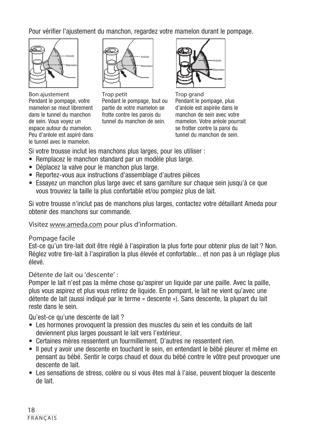Pour vérifier l'ajustement du manchon, regardez votre mamelon durant le pompage.



Bon ajustement Pendant le pompage, votre mamelon se meut librement dans le tunnel du manchon de sein. Vous voyez un espace autour du mamelon. Peu d'aréole est aspiré dans le tunnel avec le mamelon.



Trop petit Pendant le pompage, tout ou partie de votre mamelon se frotte contre les parois du tunnel du manchon de sein.



Trop grand Pendant le pompage, plus d'aréole est aspirée dans le manchon de sein avec votre mamelon. Votre aréole pourrait se frotter contre la paroi du tunnel du manchon de sein.

Si votre trousse inclut les manchons plus larges, pour les utiliser :

- Remplacez le manchon standard par un modèle plus large.
- Déplacez la valve pour le manchon plus large.
- Reportez-vous aux instructions d'assemblage d'autres pièces
- Essayez un manchon plus large avec et sans garniture sur chaque sein jusqu'à ce que vous trouviez la taille la plus confortable et/ou pompiez plus de lait.

Si votre trousse n'inclut pas de manchons plus larges, contactez votre détaillant Ameda pour obtenir des manchons sur commande.

Visitez www.ameda.com pour plus d'information.

#### Pompage facile

Est-ce qu'un tire-lait doit être réglé à l'aspiration la plus forte pour obtenir plus de lait ? Non. Réglez votre tire-lait à l'aspiration la plus élevée et confortable... et non pas à un réglage plus élevé.

Détente de lait ou 'descente' :

Pomper le lait n'est pas la même chose qu'aspirer un liquide par une paille. Avec la paille, plus vous aspirez et plus vous retirez de liquide. En pompant, le lait ne vient qu'avec une détente de lait (aussi indiqué par le terme « descente »). Sans descente, la plupart du lait reste dans le sein.

Qu'est-ce qu'une descente de lait ?

- Les hormones provoquent la pression des muscles du sein et les conduits de lait deviennent plus larges poussant le lait vers l'extérieur.
- Certaines mères ressentent un fourmillement. D'autres ne ressentent rien.
- Il peut y avoir une descente en touchant le sein, en entendant le bébé pleurer et même en pensant au bébé. Sentir le corps chaud et doux du bébé contre le vôtre peut provoquer une descente de lait.
- Les sensations de stress, colère ou si vous êtes mal à l'aise, peuvent bloquer la descente de lait.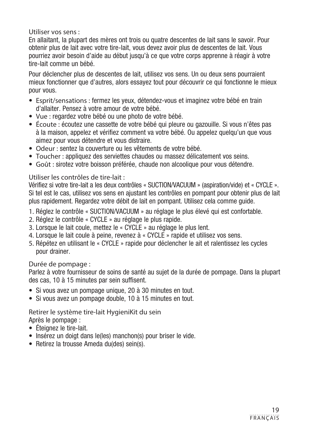Utiliser vos sens :

En allaitant, la plupart des mères ont trois ou quatre descentes de lait sans le savoir. Pour obtenir plus de lait avec votre tire-lait, vous devez avoir plus de descentes de lait. Vous pourriez avoir besoin d'aide au début jusqu'à ce que votre corps apprenne à réagir à votre tire-lait comme un bébé.

Pour déclencher plus de descentes de lait, utilisez vos sens. Un ou deux sens pourraient mieux fonctionner que d'autres, alors essayez tout pour découvrir ce qui fonctionne le mieux pour vous.

- Esprit/sensations : fermez les yeux, détendez-vous et imaginez votre bébé en train d'allaiter. Pensez à votre amour de votre bébé.
- Vue : regardez votre bébé ou une photo de votre bébé.
- Écoute : écoutez une cassette de votre bébé qui pleure ou gazouille. Si vous n'êtes pas à la maison, appelez et vérifiez comment va votre bébé. Ou appelez quelqu'un que vous aimez pour vous détendre et vous distraire.
- Odeur : sentez la couverture ou les vêtements de votre bébé.
- Toucher : appliquez des serviettes chaudes ou massez délicatement vos seins.
- Goût : sirotez votre boisson préférée, chaude non alcoolique pour vous détendre.

#### Utiliser les contrôles de tire-lait :

Vérifiez si votre tire-lait a les deux contrôles « SUCTION/VACUUM » (aspiration/vide) et « CYCLE ». Si tel est le cas, utilisez vos sens en ajustant les contrôles en pompant pour obtenir plus de lait plus rapidement. Regardez votre débit de lait en pompant. Utilisez cela comme guide.

- 1. Réglez le contrôle « SUCTION/VACUUM » au réglage le plus élevé qui est confortable.
- 2. Réglez le contrôle « CYCLE » au réglage le plus rapide.
- 3. Lorsque le lait coule, mettez le « CYCLE » au réglage le plus lent.
- 4. Lorsque le lait coule à peine, revenez à « CYCLE » rapide et utilisez vos sens.
- 5. Répétez en utilisant le « CYCLE » rapide pour déclencher le ait et ralentissez les cycles pour drainer.

#### Durée de pompage :

Parlez à votre fournisseur de soins de santé au sujet de la durée de pompage. Dans la plupart des cas, 10 à 15 minutes par sein suffisent.

- Si vous avez un pompage unique, 20 à 30 minutes en tout.
- Si vous avez un pompage double, 10 à 15 minutes en tout.

#### Retirer le système tire-lait HygieniKit du sein Après le pompage :

- Éteignez le tire-lait.
- Insérez un doigt dans le(les) manchon(s) pour briser le vide.
- Retirez la trousse Ameda du(des) sein(s).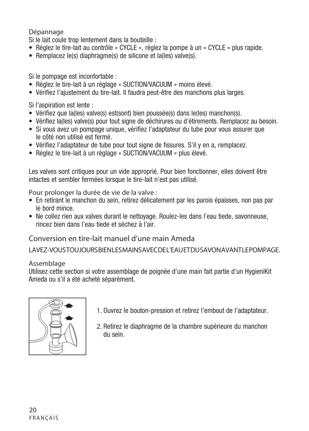Dépannage

Si le lait coule trop lentement dans la bouteille :

- Réglez le tire-lait au contrôle « CYCLE », réglez la pompe à un « CYCLE » plus rapide.
- Remplacez le(s) diaphragme(s) de silicone et la(les) valve(s).

Si le pompage est inconfortable :

- Réglez le tire-lait à un réglage « SUCTION/VACUUM » moins élevé.
- Vérifiez l'ajustement du tire-lait. Il faudra peut-être des manchons plus larges.

Si l'aspiration est lente :

- Vérifiez que la(les) valve(s) est(sont) bien poussée(s) dans le(les) manchon(s).
- Vérifiez la(les) valve(s) pour tout signe de déchirures ou d'étirements. Remplacez au besoin.
- Si vous avez un pompage unique, vérifiez l'adaptateur du tube pour vous assurer que le côté non utilisé est fermé.
- Vérifiez l'adaptateur de tube pour tout signe de fissures. S'il y en a, remplacez.
- Réglez le tire-lait à un réglage « SUCTION/VACUUM » plus élevé.

Les valves sont critiques pour un vide approprié. Pour bien fonctionner, elles doivent être intactes et sembler fermées lorsque le tire-lait n'est pas utilisé.

Pour prolonger la durée de vie de la valve :

- En retirant le manchon du sein, retirez délicatement par les parois épaisses, non pas par le bord mince.
- Ne collez rien aux valves durant le nettoyage. Roulez-les dans l'eau tiede, savonneuse, rincez bien dans l'eau tiede et séchez à l'air.

Conversion en tire-lait manuel d'une main Ameda

LAVEZ-VOUS TOUJOURS BIEN LES MAINS AVEC DE L'EAU ET DU SAVON AVANT LE POMPAGE.

#### Assemblage

Utilisez cette section si votre assemblage de poignée d'une main fait partie d'un HygieniKit Ameda ou s'il a été acheté séparément.



- 1. Ouvrez le bouton-pression et retirez l'embout de l'adaptateur.
- 2. Retirez le diaphragme de la chambre supérieure du manchon du sein.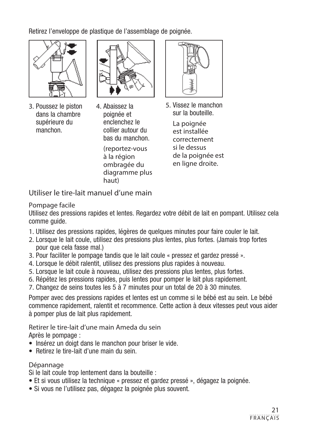Retirez l'enveloppe de plastique de l'assemblage de poignée.



3. Poussez le piston dans la chambre supérieure du manchon.



4. Abaissez la poignée et enclenchez le collier autour du bas du manchon. (reportez-vous à la région ombragée du diagramme plus haut)



5. Vissez le manchon sur la bouteille.

> La poignée est installée correctement si le dessus de la poignée est en ligne droite.

Utiliser le tire-lait manuel d'une main

#### Pompage facile

Utilisez des pressions rapides et lentes. Regardez votre débit de lait en pompant. Utilisez cela comme guide.

- 1. Utilisez des pressions rapides, légères de quelques minutes pour faire couler le lait.
- 2. Lorsque le lait coule, utilisez des pressions plus lentes, plus fortes. (Jamais trop fortes pour que cela fasse mal.)
- 3. Pour faciliter le pompage tandis que le lait coule « pressez et gardez pressé ».
- 4. Lorsque le débit ralentit, utilisez des pressions plus rapides à nouveau.
- 5. Lorsque le lait coule à nouveau, utilisez des pressions plus lentes, plus fortes.
- 6. Répétez les pressions rapides, puis lentes pour pomper le lait plus rapidement.
- 7. Changez de seins toutes les 5 à 7 minutes pour un total de 20 à 30 minutes.

Pomper avec des pressions rapides et lentes est un comme si le bébé est au sein. Le bébé commence rapidement, ralentit et recommence. Cette action à deux vitesses peut vous aider à pomper plus de lait plus rapidement.

Retirer le tire-lait d'une main Ameda du sein Après le pompage :

- Insérez un doigt dans le manchon pour briser le vide.
- Retirez le tire-lait d'une main du sein.

#### Dépannage

Si le lait coule trop lentement dans la bouteille :

- Et si vous utilisez la technique « pressez et gardez pressé », dégagez la poignée.
- Si vous ne l'utilisez pas, dégagez la poignée plus souvent.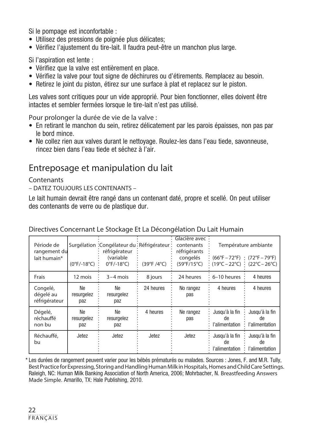Si le pompage est inconfortable :

- Utilisez des pressions de poignée plus délicates;
- Vérifiez l'ajustement du tire-lait. Il faudra peut-être un manchon plus large.

Si l'aspiration est lente :

- Vérifiez que la valve est entièrement en place.
- Vérifiez la valve pour tout signe de déchirures ou d'étirements. Remplacez au besoin.
- Retirez le joint du piston, étirez sur une surface à plat et replacez sur le piston.

Les valves sont critiques pour un vide approprié. Pour bien fonctionner, elles doivent être intactes et sembler fermées lorsque le tire-lait n'est pas utilisé.

Pour prolonger la durée de vie de la valve :

- En retirant le manchon du sein, retirez délicatement par les parois épaisses, non pas par le bord mince.
- Ne collez rien aux valves durant le nettoyage. Roulez-les dans l'eau tiede, savonneuse, rincez bien dans l'eau tiede et séchez à l'air.

## Entreposage et manipulation du lait

#### **Contenants**

– DATEZ TOUJOURS LES CONTENANTS –

Le lait humain devrait être rangé dans un contenant daté, propre et scellé. On peut utiliser des contenants de verre ou de plastique dur.

| Période de<br>rangement du<br>lait humain* | $(0°F/-18°C)$           | Surgélation : Congélateur du : Réfrigérateur :<br>réfrigérateur<br>(variable<br>$0^{\circ}$ F/-18 $^{\circ}$ C) | (39°F / 4°C) | Glacière avec:<br>contenants<br>réfrigérants<br>congelés<br>(59°F/15°C) | $(66^{\circ}F - 72^{\circ}F)$ : $(72^{\circ}F - 79^{\circ}F)$<br>$(19^{\circ}C - 22^{\circ}C)$ (22°C – 26°C) | Température ambiante                   |
|--------------------------------------------|-------------------------|-----------------------------------------------------------------------------------------------------------------|--------------|-------------------------------------------------------------------------|--------------------------------------------------------------------------------------------------------------|----------------------------------------|
| Frais                                      | 12 mois                 | $3 - 4$ mois                                                                                                    | 8 jours      | 24 heures                                                               | 6-10 heures                                                                                                  | 4 heures                               |
| Congelé,<br>dégelé au<br>réfrigérateur     | Ne<br>resurgelez<br>paz | Ne<br>resurgelez<br>paz                                                                                         | 24 heures    | No rangez<br>pas                                                        | 4 heures                                                                                                     | 4 heures                               |
| Dégelé,<br>réchauffé<br>non bu             | Ne<br>resurgelez<br>paz | Ne<br>resurgelez<br>paz                                                                                         | 4 heures     | Ne rangez<br>pas                                                        | Jusqu'à la fin<br>de<br>l'alimentation                                                                       | Jusqu'à la fin<br>de<br>l'alimentation |
| Réchauffé.<br>bu                           | Jetez                   | Jetez                                                                                                           | Jetez        | Jetez                                                                   | Jusqu'à la fin<br>de<br>l'alimentation                                                                       | Jusqu'à la fin<br>de<br>l'alimentation |

#### Directives Concernant Le Stockage Et La Décongélation Du Lait Humain

\* Les durées de rangement peuvent varier pour les bébés prématurés ou malades. Sources : Jones, F. and M.R. Tully, Best Practice for Expressing, Storing and Handling Human Milk in Hospitals, Homes and Child Care Settings. Raleigh, NC: Human Milk Banking Association of North America, 2006; Mohrbacher, N. Breastfeeding Answers Made Simple. Amarillo, TX: Hale Publishing, 2010.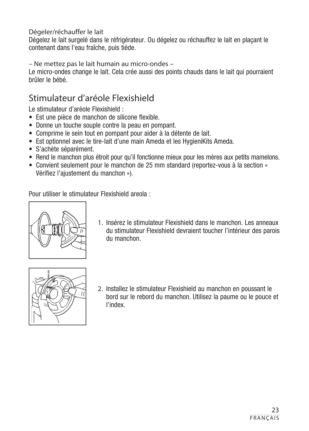Dégeler/réchauffer le lait

Dégelez le lait surgelé dans le réfrigérateur. Ou dégelez ou réchauffez le lait en plaçant le contenant dans l'eau fraîche, puis tiède.

– Ne mettez pas le lait humain au micro-ondes –

Le micro-ondes change le lait. Cela crée aussi des points chauds dans le lait qui pourraient brûler le bébé.

# Stimulateur d'aréole Flexishield

Le stimulateur d'aréole Flexishield :

- Est une pièce de manchon de silicone flexible.
- Donne un touche souple contre la peau en pompant.
- Comprime le sein tout en pompant pour aider à la détente de lait.
- Est optionnel avec le tire-lait d'une main Ameda et les HygieniKits Ameda.
- S'achète séparément.
- Rend le manchon plus étroit pour qu'il fonctionne mieux pour les mères aux petits mamelons.
- Convient seulement pour le manchon de 25 mm standard (reportez-vous à la section « Vérifiez l'ajustement du manchon »).

Pour utiliser le stimulateur Flexishield areola :



1. Insérez le stimulateur Flexishield dans le manchon. Les anneaux du stimulateur Flexishield devraient toucher l'intérieur des parois du manchon.



2. Installez le stimulateur Flexishield au manchon en poussant le bord sur le rebord du manchon. Utilisez la paume ou le pouce et l'index.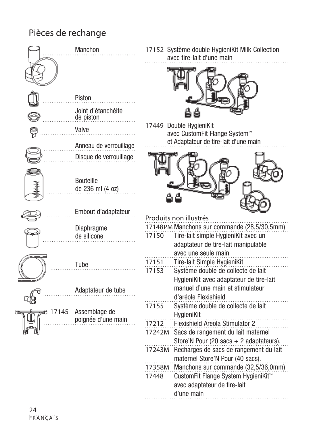# Pièces de rechange



17152 Système double HygieniKit Milk Collection avec tire-lait d'une main



17449 Double HygieniKit avec CustomFit Flange System™ et Adaptateur de tire-lait d'une main



Produits non illustrés 17148PM Manchons sur commande (28,5/30,5mm) 17150 Tire-lait simple HygieniKit avec un adaptateur de tire-lait manipulable avec une seule main 17151 Tire-lait Simple HygieniKit 17153 Système double de collecte de lait HygieniKit avec adaptateur de tire-lait manuel d'une main et stimulateur d'aréole Flexishield 17155 Système double de collecte de lait HygieniKit 17212 Flexishield Areola Stimulator 2 17242M Sacs de rangement du lait maternel Store'N Pour (20 sacs + 2 adaptateurs). 17243M Recharges de sacs de rangement du lait maternel Store'N Pour (40 sacs). 17358M Manchons sur commande (32,5/36,0mm) 17448 CustomFit Flange System HygieniKit™ avec adaptateur de tire-lait d'une main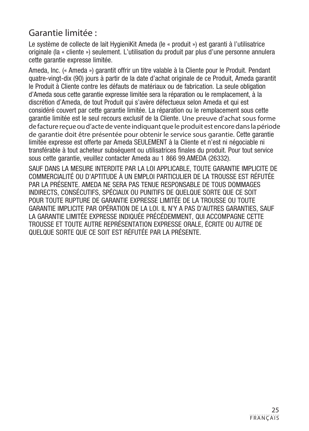## Garantie limitée :

Le système de collecte de lait HygieniKit Ameda (le « produit ») est garanti à l'utilisatrice originale (la « cliente ») seulement. L'utilisation du produit par plus d'une personne annulera cette garantie expresse limitée.

Ameda, Inc. (« Ameda ») garantit offrir un titre valable à la Cliente pour le Produit. Pendant quatre-vingt-dix (90) jours à partir de la date d'achat originale de ce Produit, Ameda garantit le Produit à Cliente contre les défauts de matériaux ou de fabrication. La seule obligation d'Ameda sous cette garantie expresse limitée sera la réparation ou le remplacement, à la discrétion d'Ameda, de tout Produit qui s'avère défectueux selon Ameda et qui est considéré couvert par cette garantie limitée. La réparation ou le remplacement sous cette garantie limitée est le seul recours exclusif de la Cliente. Une preuve d'achat sous forme de facture reçue ou d'acte de vente indiquant que le produit est encore dans la période de garantie doit être présentée pour obtenir le service sous garantie. Cette garantie limitée expresse est offerte par Ameda SEULEMENT à la Cliente et n'est ni négociable ni transférable à tout acheteur subséquent ou utilisatrices finales du produit. Pour tout service sous cette garantie, veuillez contacter Ameda au 1 866 99.AMEDA (26332).

SAUF DANS LA MESURE INTERDITE PAR LA LOI APPLICABLE, TOUTE GARANTIE IMPLICITE DE COMMERCIALITÉ OU D'APTITUDE À UN EMPLOI PARTICULIER DE LA TROUSSE EST RÉFUTÉE PAR LA PRÉSENTE. AMEDA NE SERA PAS TENUE RESPONSABLE DE TOUS DOMMAGES INDIRECTS, CONSÉCUTIFS, SPÉCIAUX OU PUNITIFS DE QUELQUE SORTE QUE CE SOIT POUR TOUTE RUPTURE DE GARANTIE EXPRESSE LIMITÉE DE LA TROUSSE OU TOUTE GARANTIE IMPLICITE PAR OPÉRATION DE LA LOI. IL N'Y A PAS D'AUTRES GARANTIES, SAUF LA GARANTIE LIMITÉE EXPRESSE INDIQUÉE PRÉCÉDEMMENT, QUI ACCOMPAGNE CETTE TROUSSE ET TOUTE AUTRE REPRÉSENTATION EXPRESSE ORALE, ÉCRITE OU AUTRE DE QUELQUE SORTE QUE CE SOIT EST RÉFUTÉE PAR LA PRÉSENTE.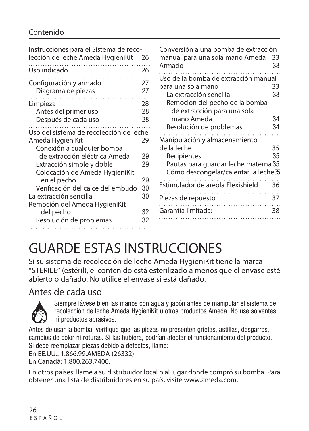### Contenido

| Instrucciones para el Sistema de reco-<br>lección de leche Ameda HygieniKit                                                                                                                                                                   | 26                         | Conversión a una bomba de extracción<br>manual para una sola mano Ameda                                                                                                                                     | 33                   |
|-----------------------------------------------------------------------------------------------------------------------------------------------------------------------------------------------------------------------------------------------|----------------------------|-------------------------------------------------------------------------------------------------------------------------------------------------------------------------------------------------------------|----------------------|
| Uso indicado                                                                                                                                                                                                                                  | 26                         | Armado                                                                                                                                                                                                      | 33                   |
| Configuración y armado<br>Diagrama de piezas                                                                                                                                                                                                  | 27<br>27                   | Uso de la bomba de extracción manual<br>para una sola mano<br>La extracción sencilla                                                                                                                        | 33<br>33             |
| Limpieza<br>Antes del primer uso<br>Después de cada uso                                                                                                                                                                                       | 28<br>28<br>28             | Remoción del pecho de la bomba<br>de extracción para una sola<br>mano Ameda                                                                                                                                 | 34                   |
| Uso del sistema de recolección de leche<br>Ameda HygieniKit<br>Conexión a cualquier bomba<br>de extracción eléctrica Ameda<br>Extracción simple y doble<br>Colocación de Ameda HygieniKit<br>en el pecho<br>Verificación del calce del embudo | 29<br>29<br>29<br>29<br>30 | Resolución de problemas<br>Manipulación y almacenamiento<br>de la leche<br>Recipientes<br>Pautas para guardar leche materna 35<br>Cómo descongelar/calentar la leche35<br>Estimulador de areola Flexishield | 34<br>35<br>35<br>36 |
| La extracción sencilla<br>Remoción del Ameda HygieniKit<br>del pecho<br>Resolución de problemas                                                                                                                                               | 30<br>32<br>32             | Piezas de repuesto<br>Garantía limitada:                                                                                                                                                                    | 37<br>38             |

# GUARDE ESTAS INSTRUCCIONES

Si su sistema de recolección de leche Ameda HygieniKit tiene la marca "STERILE" (estéril), el contenido está esterilizado a menos que el envase esté abierto o dañado. No utilice el envase si está dañado.

### Antes de cada uso



Siempre lávese bien las manos con agua y jabón antes de manipular el sistema de recolección de leche Ameda HygieniKit u otros productos Ameda. No use solventes ni productos abrasivos.

Antes de usar la bomba, verifique que las piezas no presenten grietas, astillas, desgarros, cambios de color ni roturas. Si las hubiera, podrían afectar el funcionamiento del producto. Si debe reemplazar piezas debido a defectos, llame:

En EE.UU.: 1.866.99.AMEDA (26332)

En Canadá: 1.800.263.7400.

En otros países: llame a su distribuidor local o al lugar donde compró su bomba. Para obtener una lista de distribuidores en su país, visite www.ameda.com.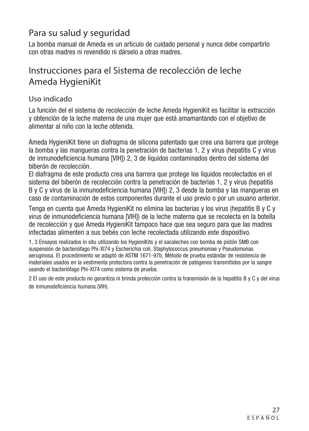# Para su salud y seguridad

La bomba manual de Ameda es un artículo de cuidado personal y nunca debe compartirlo con otras madres ni revendido ni dárselo a otras madres.

# Instrucciones para el Sistema de recolección de leche Ameda HygieniKit

### Uso indicado

La función del el sistema de recolección de leche Ameda HygieniKit es facilitar la extracción y obtención de la leche materna de una mujer que está amamantando con el objetivo de alimentar al niño con la leche obtenida.

Ameda HygieniKit tiene un diafragma de silicona patentado que crea una barrera que protege la bomba y las mangueras contra la penetración de bacterias 1, 2 y virus (hepatitis C y virus de inmunodeficiencia humana [VIH]) 2, 3 de líquidos contaminados dentro del sistema del biberón de recolección.

El diafragma de este producto crea una barrera que protege los líquidos recolectados en el sistema del biberón de recolección contra la penetración de bacterias 1, 2 y virus (hepatitis B y C y virus de la inmunodeficiencia humana [VIH]) 2, 3 desde la bomba y las mangueras en caso de contaminación de estos componentes durante el uso previo o por un usuario anterior.

Tenga en cuenta que Ameda HygieniKit no elimina las bacterias y los virus (hepatitis B y C y virus de inmunodeficiencia humana [VIH]) de la leche materna que se recolecta en la botella de recolección y que Ameda HygieniKit tampoco hace que sea seguro para que las madres infectadas alimenten a sus bebés con leche recolectada utilizando este dispositivo.

1, 3 Ensayos realizados in situ utilizando los HygieniKits y el sacaleches con bomba de pistón SMB con suspensión de bacteriófago Phi-XI74 y Escherichia coli, Staphylococcus pneumoniae y Pseudomonas aeruginosa. El procedimiento se adaptó de ASTM 1671-97b, Método de prueba estándar de resistencia de materiales usados en la vestimenta protectora contra la penetración de patógenos transmitidos por la sangre usando el bacteriófago Phi-Xl74 como sistema de prueba.

2 El uso de este producto no garantiza ni brinda protección contra la transmisión de la hepatitis B y C y del virus de inmunodeficiencia humana (VIH).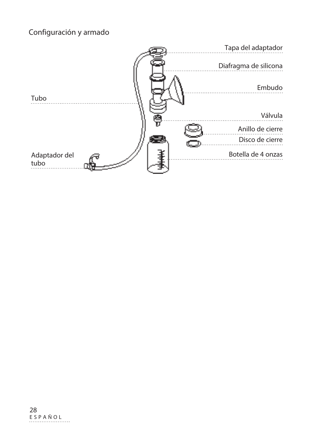### Configuración y armado

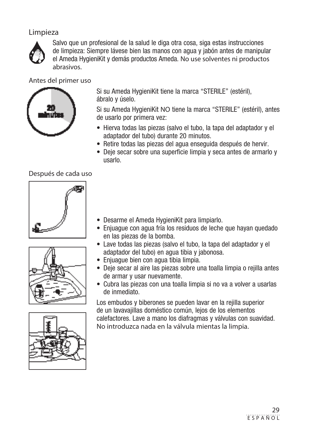### Limpieza



Salvo que un profesional de la salud le diga otra cosa, siga estas instrucciones de limpieza: Siempre lávese bien las manos con agua y jabón antes de manipular el Ameda HygieniKit y demás productos Ameda. No use solventes ni productos abrasivos.

Antes del primer uso



Si su Ameda HygieniKit tiene la marca "STERILE" (estéril), ábralo y úselo.

Si su Ameda HygieniKit NO tiene la marca "STERILE" (estéril), antes de usarlo por primera vez:

- Hierva todas las piezas (salvo el tubo, la tapa del adaptador y el adaptador del tubo) durante 20 minutos.
- Retire todas las piezas del agua enseguida después de hervir.
- Deje secar sobre una superficie limpia y seca antes de armarlo y usarlo.

Después de cada uso







- Enjuague con agua fría los residuos de leche que hayan quedado en las piezas de la bomba.
- Lave todas las piezas (salvo el tubo, la tapa del adaptador y el adaptador del tubo) en agua tibia y jabonosa.
- Enjuague bien con agua tibia limpia.
- Deje secar al aire las piezas sobre una toalla limpia o rejilla antes de armar y usar nuevamente.
- Cubra las piezas con una toalla limpia si no va a volver a usarlas de inmediato.

Los embudos y biberones se pueden lavar en la rejilla superior de un lavavajillas doméstico común, lejos de los elementos calefactores. Lave a mano los diafragmas y válvulas con suavidad. No introduzca nada en la válvula mientas la limpia.

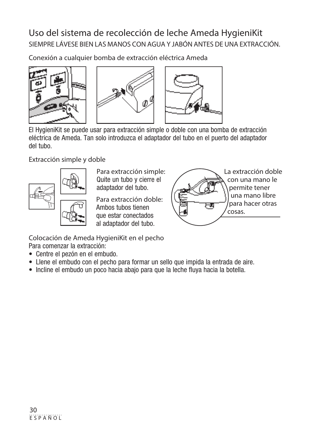# Uso del sistema de recolección de leche Ameda HygieniKit SIEMPRE LÁVESE BIEN LAS MANOS CON AGUA Y JABÓN ANTES DE UNA EXTRACCIÓN.

Conexión a cualquier bomba de extracción eléctrica Ameda



El HygieniKit se puede usar para extracción simple o doble con una bomba de extracción eléctrica de Ameda. Tan solo introduzca el adaptador del tubo en el puerto del adaptador del tubo.

#### Extracción simple y doble



Para extracción simple: Quite un tubo y cierre el adaptador del tubo.

Para extracción doble: Ambos tubos tienen que estar conectados al adaptador del tubo.



Colocación de Ameda HygieniKit en el pecho Para comenzar la extracción:

- Centre el pezón en el embudo.
- Llene el embudo con el pecho para formar un sello que impida la entrada de aire.
- Incline el embudo un poco hacia abajo para que la leche fluya hacia la botella.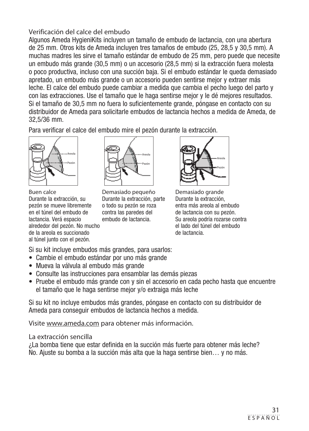#### Verificación del calce del embudo

Algunos Ameda HygieniKits incluyen un tamaño de embudo de lactancia, con una abertura de 25 mm. Otros kits de Ameda incluyen tres tamaños de embudo (25, 28,5 y 30,5 mm). A muchas madres les sirve el tamaño estándar de embudo de 25 mm, pero puede que necesite un embudo más grande (30,5 mm) o un accesorio (28,5 mm) si la extracción fuera molesta o poco productiva, incluso con una succión baja. Si el embudo estándar le queda demasiado apretado, un embudo más grande o un accesorio pueden sentirse mejor y extraer más leche. El calce del embudo puede cambiar a medida que cambia el pecho luego del parto y con las extracciones. Use el tamaño que le haga sentirse mejor y le dé mejores resultados. Si el tamaño de 30,5 mm no fuera lo suficientemente grande, póngase en contacto con su distribuidor de Ameda para solicitarle embudos de lactancia hechos a medida de Ameda, de 32,5/36 mm.

Para verificar el calce del embudo mire el pezón durante la extracción.



Buen calce Durante la extracción, su pezón se mueve libremente en el túnel del embudo de lactancia. Verá espacio alrededor del pezón. No mucho de la areola es succionado al túnel junto con el pezón.



Demasiado pequeño Durante la extracción, parte o todo su pezón se roza contra las paredes del embudo de lactancia.



Demasiado grande Durante la extracción, entra más areola al embudo de lactancia con su pezón. Su areola podría rozarse contra el lado del túnel del embudo de lactancia.

Si su kit incluye embudos más grandes, para usarlos:

- Cambie el embudo estándar por uno más grande
- Mueva la válvula al embudo más grande
- Consulte las instrucciones para ensamblar las demás piezas
- Pruebe el embudo más grande con y sin el accesorio en cada pecho hasta que encuentre el tamaño que le haga sentirse mejor y/o extraiga más leche

Si su kit no incluye embudos más grandes, póngase en contacto con su distribuidor de Ameda para conseguir embudos de lactancia hechos a medida.

Visite www.ameda.com para obtener más información.

#### La extracción sencilla

¿La bomba tiene que estar definida en la succión más fuerte para obtener más leche? No. Ajuste su bomba a la succión más alta que la haga sentirse bien… y no más.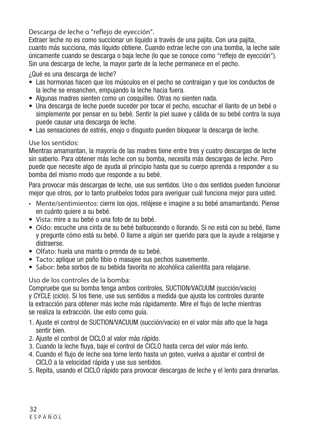Descarga de leche o "reflejo de eyección".

Extraer leche no es como succionar un líquido a través de una pajita. Con una pajita, cuanto más succiona, más líquido obtiene. Cuando extrae leche con una bomba, la leche sale únicamente cuando se descarga o baja leche (lo que se conoce como "reflejo de eyección"). Sin una descarga de leche, la mayor parte de la leche permanece en el pecho.

¿Qué es una descarga de leche?

- Las hormonas hacen que los músculos en el pecho se contraigan y que los conductos de la leche se ensanchen, empujando la leche hacia fuera.
- Algunas madres sienten como un cosquilleo. Otras no sienten nada.
- Una descarga de leche puede suceder por tocar el pecho, escuchar el llanto de un bebé o simplemente por pensar en su bebé. Sentir la piel suave y cálida de su bebé contra la suya puede causar una descarga de leche.
- Las sensaciones de estrés, enojo o disgusto pueden bloquear la descarga de leche.

#### Use los sentidos:

Mientras amamantan, la mayoría de las madres tiene entre tres y cuatro descargas de leche sin saberlo. Para obtener más leche con su bomba, necesita más descargas de leche. Pero puede que necesite algo de ayuda al principio hasta que su cuerpo aprenda a responder a su bomba del mismo modo que responde a su bebé.

Para provocar más descargas de leche, use sus sentidos. Uno o dos sentidos pueden funcionar mejor que otros, por lo tanto pruébelos todos para averiguar cuál funciona mejor para usted.

- Mente/sentimientos: cierre los ojos, relájese e imagine a su bebé amamantando. Piense en cuánto quiere a su bebé.
- Vista: mire a su bebé o una foto de su bebé.
- Oído: escuche una cinta de su bebé balbuceando o llorando. Si no está con su bebé, llame y pregunte cómo está su bebé. O llame a algún ser querido para que la ayude a relajarse y distraerse.
- Olfato: huela una manta o prenda de su bebé.
- Tacto: aplique un paño tibio o masajee sus pechos suavemente.
- Sabor: beba sorbos de su bebida favorita no alcohólica calientita para relajarse.

#### Uso de los controles de la bomba:

Compruebe que su bomba tenga ambos controles, SUCTION/VACUUM (succión/vacío) y CYCLE (ciclo). Si los tiene, use sus sentidos a medida que ajusta los controles durante la extracción para obtener más leche más rápidamente. Mire el flujo de leche mientras se realiza la extracción. Use esto como guía.

- 1. Ajuste el control de SUCTION/VACUUM (succión/vacío) en el valor más alto que la haga sentir bien.
- 2. Ajuste el control de CICLO al valor más rápido.
- 3. Cuando la leche fluya, baje el control de CICLO hasta cerca del valor más lento.
- 4. Cuando el flujo de leche sea torne lento hasta un goteo, vuelva a ajustar el control de CICLO a la velocidad rápida y use sus sentidos.
- 5. Repita, usando el CICLO rápido para provocar descargas de leche y el lento para drenarlas.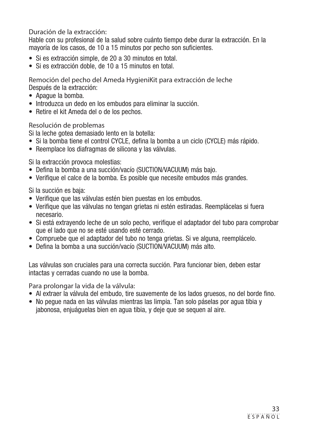Duración de la extracción:

Hable con su profesional de la salud sobre cuánto tiempo debe durar la extracción. En la mayoría de los casos, de 10 a 15 minutos por pecho son suficientes.

- Si es extracción simple, de 20 a 30 minutos en total.
- Si es extracción doble, de 10 a 15 minutos en total.

Remoción del pecho del Ameda HygieniKit para extracción de leche Después de la extracción:

- Apague la bomba.
- Introduzca un dedo en los embudos para eliminar la succión.
- Retire el kit Ameda del o de los pechos.

Resolución de problemas

Si la leche gotea demasiado lento en la botella:

- Si la bomba tiene el control CYCLE, defina la bomba a un ciclo (CYCLE) más rápido.
- Reemplace los diafragmas de silicona y las válvulas.

Si la extracción provoca molestias:

- Defina la bomba a una succión/vacío (SUCTION/VACUUM) más bajo.
- Verifique el calce de la bomba. Es posible que necesite embudos más grandes.

Si la succión es baja:

- Verifique que las válvulas estén bien puestas en los embudos.
- Verifique que las válvulas no tengan grietas ni estén estiradas. Reemplácelas si fuera necesario.
- Si está extrayendo leche de un solo pecho, verifique el adaptador del tubo para comprobar que el lado que no se esté usando esté cerrado.
- Compruebe que el adaptador del tubo no tenga grietas. Si ve alguna, reemplácelo.
- Defina la bomba a una succión/vacío (SUCTION/VACUUM) más alto.

Las válvulas son cruciales para una correcta succión. Para funcionar bien, deben estar intactas y cerradas cuando no use la bomba.

Para prolongar la vida de la válvula:

- Al extraer la válvula del embudo, tire suavemente de los lados gruesos, no del borde fino.
- No pegue nada en las válvulas mientras las limpia. Tan solo páselas por agua tibia y jabonosa, enjuáguelas bien en agua tibia, y deje que se sequen al aire.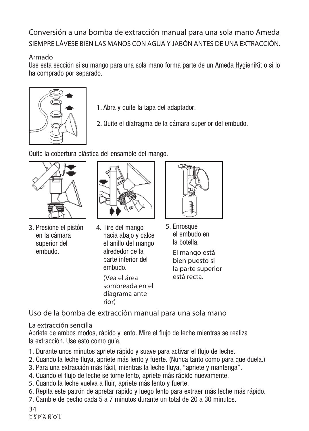Conversión a una bomba de extracción manual para una sola mano Ameda SIEMPRE LÁVESE BIEN LAS MANOS CON AGUA Y JABÓN ANTES DE UNA EXTRACCIÓN.

#### Armado

Use esta sección si su mango para una sola mano forma parte de un Ameda HygieniKit o si lo ha comprado por separado.



- 1. Abra y quite la tapa del adaptador.
- 2. Quite el diafragma de la cámara superior del embudo.

Quite la cobertura plástica del ensamble del mango.



- 3. Presione el pistón en la cámara superior del embudo.
- 
- 4. Tire del mango hacia abajo y calce el anillo del mango alrededor de la parte inferior del embudo. (Vea el área sombreada en el diagrama anterior)



5. Enrosque el embudo en la botella.

> El mango está bien puesto si la parte superior está recta.

Uso de la bomba de extracción manual para una sola mano

#### La extracción sencilla

Apriete de ambos modos, rápido y lento. Mire el flujo de leche mientras se realiza la extracción. Use esto como guía.

- 1. Durante unos minutos apriete rápido y suave para activar el flujo de leche.
- 2. Cuando la leche fluya, apriete más lento y fuerte. (Nunca tanto como para que duela.)
- 3. Para una extracción más fácil, mientras la leche fluya, "apriete y mantenga".
- 4. Cuando el flujo de leche se torne lento, apriete más rápido nuevamente.
- 5. Cuando la leche vuelva a fluir, apriete más lento y fuerte.
- 6. Repita este patrón de apretar rápido y luego lento para extraer más leche más rápido.
- 7. Cambie de pecho cada 5 a 7 minutos durante un total de 20 a 30 minutos.

34 ESPAÑOL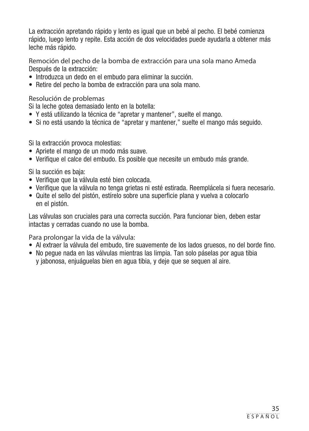La extracción apretando rápido y lento es igual que un bebé al pecho. El bebé comienza rápido, luego lento y repite. Esta acción de dos velocidades puede ayudarla a obtener más leche más rápido.

Remoción del pecho de la bomba de extracción para una sola mano Ameda Después de la extracción:

- Introduzca un dedo en el embudo para eliminar la succión.
- Retire del pecho la bomba de extracción para una sola mano.

Resolución de problemas

Si la leche gotea demasiado lento en la botella:

- Y está utilizando la técnica de "apretar y mantener", suelte el mango.
- Si no está usando la técnica de "apretar y mantener," suelte el mango más seguido.

Si la extracción provoca molestias:

- Apriete el mango de un modo más suave.
- Verifique el calce del embudo. Es posible que necesite un embudo más grande.

Si la succión es baja:

- Verifique que la válvula esté bien colocada.
- Verifique que la válvula no tenga grietas ni esté estirada. Reemplácela si fuera necesario.
- Quite el sello del pistón, estírelo sobre una superficie plana y vuelva a colocarlo en el pistón.

Las válvulas son cruciales para una correcta succión. Para funcionar bien, deben estar intactas y cerradas cuando no use la bomba.

Para prolongar la vida de la válvula:

- Al extraer la válvula del embudo, tire suavemente de los lados gruesos, no del borde fino.
- No pegue nada en las válvulas mientras las limpia. Tan solo páselas por agua tibia y jabonosa, enjuáguelas bien en agua tibia, y deje que se sequen al aire.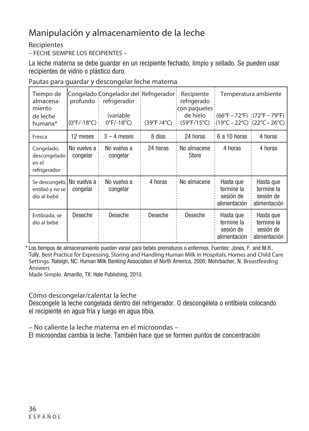# Manipulación y almacenamiento de la leche

#### **Recipientes**

– FECHE SIEMPRE LOS RECIPIENTES –

La leche materna se debe guardar en un recipiente fechado, limpio y sellado. Se pueden usar recipientes de vidrio o plástico duro.

|  | Pautas para guardar y descongelar leche materna |
|--|-------------------------------------------------|
|--|-------------------------------------------------|

| Tiempo de<br>almacena-<br>miento<br>de leche<br>humana*        | $(0^{\circ}F/-18^{\circ}C)$ : | Congelado Congelador del∶Refrigerador∶<br>profundo: refrigerador<br>(variable<br>$0^{\circ}$ F/-18 $^{\circ}$ C) | (39°F /4°C) | Recipiente<br>refrigerado<br>: con paquetes:<br>de hielo<br>(59°F/15°C) | : (66°F – 72°F) : (72°F – 79°F)<br>$\frac{1}{2}(19^{\circ}C - 22^{\circ}C)$ :(22°C – 26°C) | Temperatura ambiente                                 |
|----------------------------------------------------------------|-------------------------------|------------------------------------------------------------------------------------------------------------------|-------------|-------------------------------------------------------------------------|--------------------------------------------------------------------------------------------|------------------------------------------------------|
| Fresca                                                         | 12 meses                      | $3 - 4$ meses                                                                                                    | 8 días      | 24 horas                                                                | ∶6 a 10 horas                                                                              | 4 horas                                              |
| Congelado,<br>descongelado<br>en el<br>refrigerador            | No vuelva a :<br>congelar     | No vuelva a<br>congelar                                                                                          | 24 horas    | : No almacene<br>Store                                                  | 4 horas                                                                                    | 4 horas                                              |
| Se descongeló, No vuelva a -<br>entibió y no se<br>dio al bebé | congelar                      | No vuelva a<br>congelar                                                                                          | 4 horas     | No almacene                                                             | Hasta que<br>termine la<br>sesión de<br>alimentación                                       | Hasta que<br>termine la<br>sesión de<br>alimentación |
| Entibiada, se<br>dio al bebé                                   | Deseche                       | Deseche                                                                                                          | Deseche     | Deseche                                                                 | Hasta que<br>termine la<br>sesión de<br>alimentación                                       | Hasta que<br>termine la<br>sesión de<br>alimentación |

\* Los tiempos de almacenamiento pueden variar para bebés prematuros o enfermos. Fuentes: Jones, F. and M.R.. Tully, Best Practice for Expressing, Storing and Handling Human Milk in Hospitals, Homes and Child Care Settings. Raleigh, NC: Human Milk Banking Association of North America, 2006; Mohrbacher, N. Breastfeeding Answers

Made Simple. Amarillo, TX: Hale Publishing, 2010.

#### Cómo descongelar/calentar la leche

Descongele la leche congelada dentro del refrigerador. O descongélela o entíbiela colocando el recipiente en agua fría y luego en agua tibia.

– No caliente la leche materna en el microondas –

El microondas cambia la leche. También hace que se formen puntos de concentración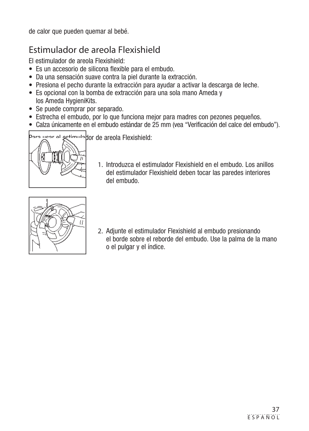de calor que pueden quemar al bebé.

# Estimulador de areola Flexishield

El estimulador de areola Flexishield:

- Es un accesorio de silicona flexible para el embudo.
- Da una sensación suave contra la piel durante la extracción.
- Presiona el pecho durante la extracción para ayudar a activar la descarga de leche.
- Es opcional con la bomba de extracción para una sola mano Ameda y los Ameda HygieniKits.
- Se puede comprar por separado.
- Estrecha el embudo, por lo que funciona mejor para madres con pezones pequeños.
- Calza únicamente en el embudo estándar de 25 mm (vea "Verificación del calce del embudo").



- Partimulador de areola Flexishield:
	- 1. Introduzca el estimulador Flexishield en el embudo. Los anillos del estimulador Flexishield deben tocar las paredes interiores del embudo.



2. Adjunte el estimulador Flexishield al embudo presionando el borde sobre el reborde del embudo. Use la palma de la mano o el pulgar y el índice.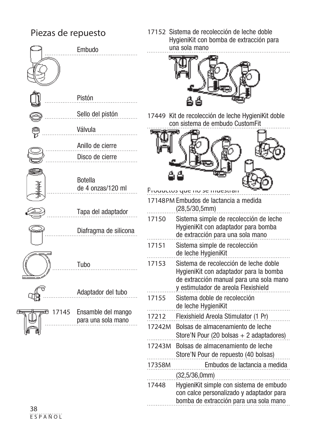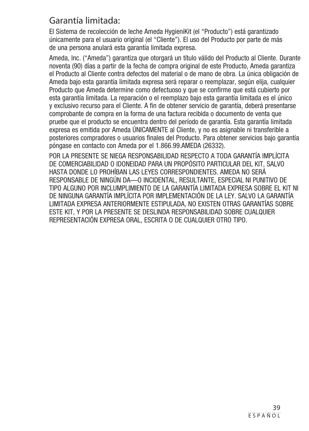### Garantía limitada:

El Sistema de recolección de leche Ameda HygieniKit (el "Producto") está garantizado únicamente para el usuario original (el "Cliente"). El uso del Producto por parte de más de una persona anulará esta garantía limitada expresa.

Ameda, Inc. ("Ameda") garantiza que otorgará un título válido del Producto al Cliente. Durante noventa (90) días a partir de la fecha de compra original de este Producto, Ameda garantiza el Producto al Cliente contra defectos del material o de mano de obra. La única obligación de Ameda bajo esta garantía limitada expresa será reparar o reemplazar, según elija, cualquier Producto que Ameda determine como defectuoso y que se confirme que está cubierto por esta garantía limitada. La reparación o el reemplazo bajo esta garantía limitada es el único y exclusivo recurso para el Cliente. A fin de obtener servicio de garantía, deberá presentarse comprobante de compra en la forma de una factura recibida o documento de venta que pruebe que el producto se encuentra dentro del período de garantía. Esta garantía limitada expresa es emitida por Ameda ÚNICAMENTE al Cliente, y no es asignable ni transferible a posteriores compradores o usuarios finales del Producto. Para obtener servicios bajo garantía póngase en contacto con Ameda por el 1.866.99.AMEDA (26332).

POR LA PRESENTE SE NIEGA RESPONSABILIDAD RESPECTO A TODA GARANTÍA IMPLÍCITA DE COMERCIABILIDAD O IDONEIDAD PARA UN PROPÓSITO PARTICULAR DEL KIT, SALVO HASTA DONDE LO PROHÍBAN LAS LEYES CORRESPONDIENTES. AMEDA NO SERÁ RESPONSABLE DE NINGÚN DA—O INCIDENTAL, RESULTANTE, ESPECIAL NI PUNITIVO DE TIPO ALGUNO POR INCLUMPLIMIENTO DE LA GARANTÍA LIMITADA EXPRESA SOBRE EL KIT NI DE NINGUNA GARANTÍA IMPLÍCITA POR IMPLEMENTACIÓN DE LA LEY. SALVO LA GARANTÍA LIMITADA EXPRESA ANTERIORMENTE ESTIPULADA, NO EXISTEN OTRAS GARANTÍAS SOBRE ESTE KIT, Y POR LA PRESENTE SE DESLINDA RESPONSABILIDAD SOBRE CUALQUIER REPRESENTACIÓN EXPRESA ORAL, ESCRITA O DE CUALQUIER OTRO TIPO.